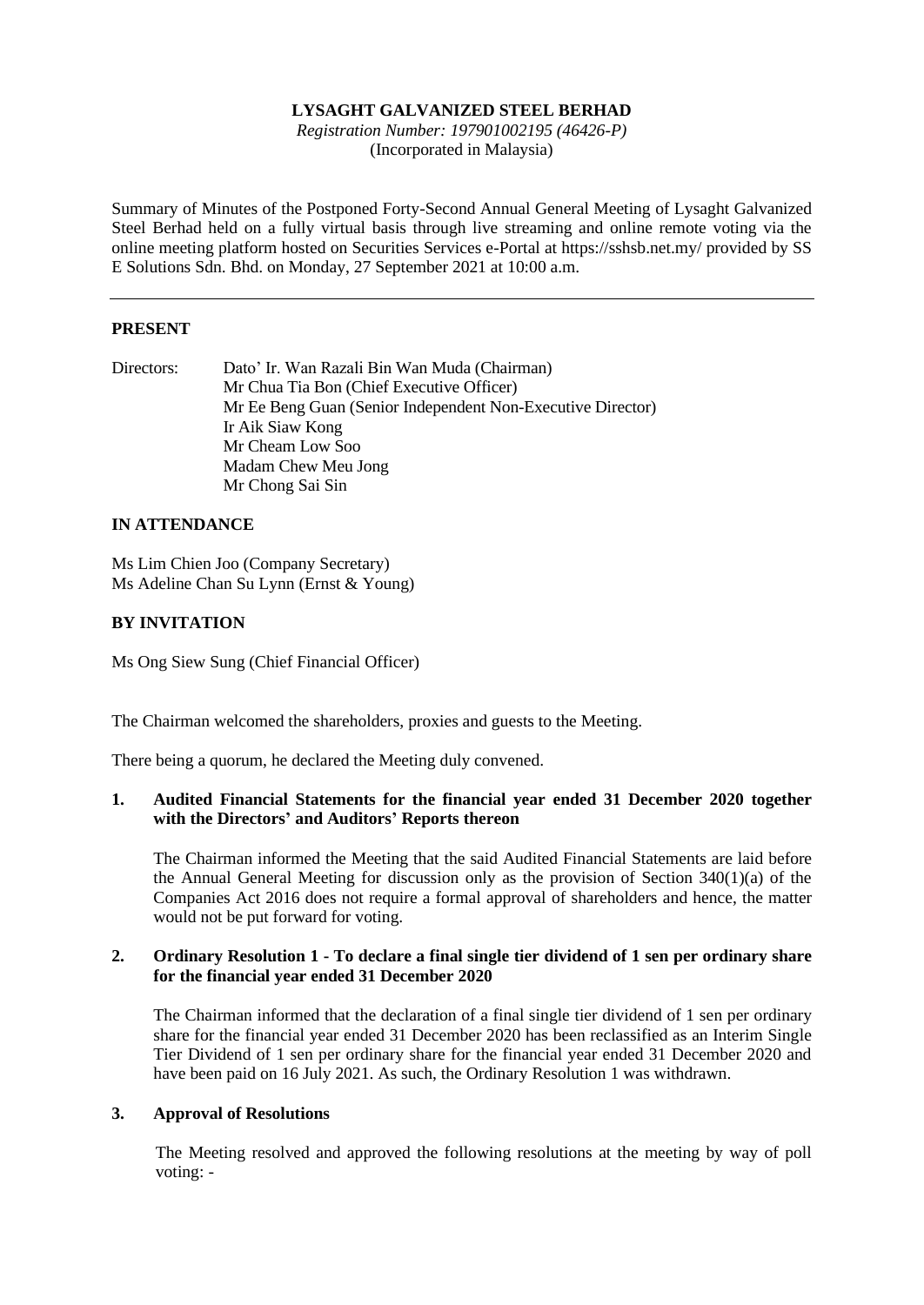## **LYSAGHT GALVANIZED STEEL BERHAD**

*Registration Number: 197901002195 (46426-P)* (Incorporated in Malaysia)

Summary of Minutes of the Postponed Forty-Second Annual General Meeting of Lysaght Galvanized Steel Berhad held on a fully virtual basis through live streaming and online remote voting via the online meeting platform hosted on Securities Services e-Portal at https://sshsb.net.my/ provided by SS E Solutions Sdn. Bhd. on Monday, 27 September 2021 at 10:00 a.m.

## **PRESENT**

| Directors: | Dato' Ir. Wan Razali Bin Wan Muda (Chairman)                |  |  |  |  |
|------------|-------------------------------------------------------------|--|--|--|--|
|            | Mr Chua Tia Bon (Chief Executive Officer)                   |  |  |  |  |
|            | Mr Ee Beng Guan (Senior Independent Non-Executive Director) |  |  |  |  |
|            | Ir Aik Siaw Kong                                            |  |  |  |  |
|            | Mr Cheam Low Soo                                            |  |  |  |  |
|            | Madam Chew Meu Jong                                         |  |  |  |  |
|            | Mr Chong Sai Sin                                            |  |  |  |  |

### **IN ATTENDANCE**

Ms Lim Chien Joo (Company Secretary) Ms Adeline Chan Su Lynn (Ernst & Young)

## **BY INVITATION**

Ms Ong Siew Sung (Chief Financial Officer)

The Chairman welcomed the shareholders, proxies and guests to the Meeting.

There being a quorum, he declared the Meeting duly convened.

### **1. Audited Financial Statements for the financial year ended 31 December 2020 together with the Directors' and Auditors' Reports thereon**

The Chairman informed the Meeting that the said Audited Financial Statements are laid before the Annual General Meeting for discussion only as the provision of Section 340(1)(a) of the Companies Act 2016 does not require a formal approval of shareholders and hence, the matter would not be put forward for voting.

### **2. Ordinary Resolution 1 - To declare a final single tier dividend of 1 sen per ordinary share for the financial year ended 31 December 2020**

The Chairman informed that the declaration of a final single tier dividend of 1 sen per ordinary share for the financial year ended 31 December 2020 has been reclassified as an Interim Single Tier Dividend of 1 sen per ordinary share for the financial year ended 31 December 2020 and have been paid on 16 July 2021. As such, the Ordinary Resolution 1 was withdrawn.

### **3. Approval of Resolutions**

The Meeting resolved and approved the following resolutions at the meeting by way of poll voting: -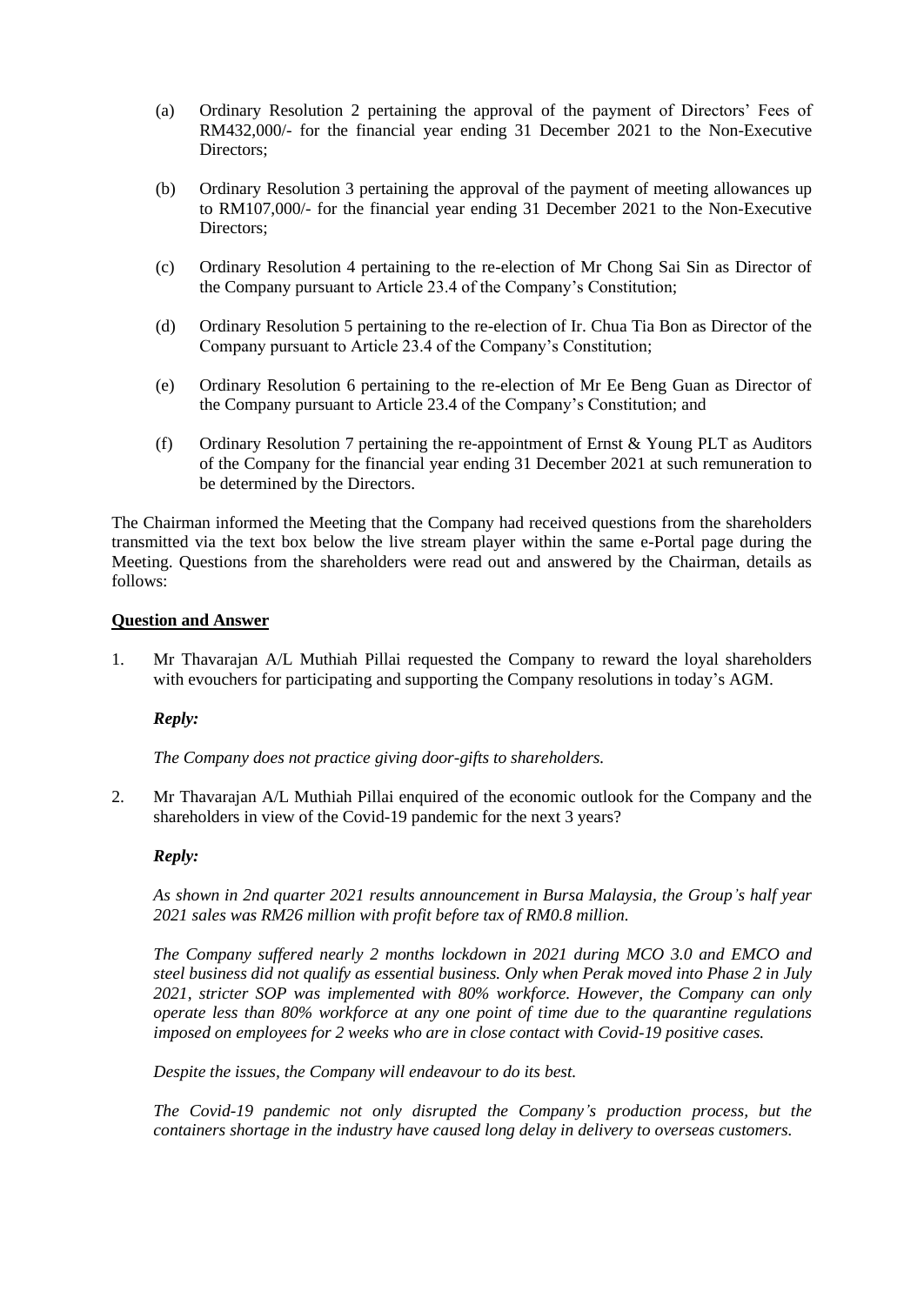- (a) Ordinary Resolution 2 pertaining the approval of the payment of Directors' Fees of RM432,000/- for the financial year ending 31 December 2021 to the Non-Executive Directors;
- (b) Ordinary Resolution 3 pertaining the approval of the payment of meeting allowances up to RM107,000/- for the financial year ending 31 December 2021 to the Non-Executive Directors;
- (c) Ordinary Resolution 4 pertaining to the re-election of Mr Chong Sai Sin as Director of the Company pursuant to Article 23.4 of the Company's Constitution;
- (d) Ordinary Resolution 5 pertaining to the re-election of Ir. Chua Tia Bon as Director of the Company pursuant to Article 23.4 of the Company's Constitution;
- (e) Ordinary Resolution 6 pertaining to the re-election of Mr Ee Beng Guan as Director of the Company pursuant to Article 23.4 of the Company's Constitution; and
- (f) Ordinary Resolution 7 pertaining the re-appointment of Ernst & Young PLT as Auditors of the Company for the financial year ending 31 December 2021 at such remuneration to be determined by the Directors.

The Chairman informed the Meeting that the Company had received questions from the shareholders transmitted via the text box below the live stream player within the same e-Portal page during the Meeting. Questions from the shareholders were read out and answered by the Chairman, details as follows:

### **Question and Answer**

1. Mr Thavarajan A/L Muthiah Pillai requested the Company to reward the loyal shareholders with evouchers for participating and supporting the Company resolutions in today's AGM.

### *Reply:*

*The Company does not practice giving door-gifts to shareholders.*

2. Mr Thavarajan A/L Muthiah Pillai enquired of the economic outlook for the Company and the shareholders in view of the Covid-19 pandemic for the next 3 years?

### *Reply:*

*As shown in 2nd quarter 2021 results announcement in Bursa Malaysia, the Group's half year 2021 sales was RM26 million with profit before tax of RM0.8 million.*

*The Company suffered nearly 2 months lockdown in 2021 during MCO 3.0 and EMCO and steel business did not qualify as essential business. Only when Perak moved into Phase 2 in July 2021, stricter SOP was implemented with 80% workforce. However, the Company can only operate less than 80% workforce at any one point of time due to the quarantine regulations imposed on employees for 2 weeks who are in close contact with Covid-19 positive cases.*

*Despite the issues, the Company will endeavour to do its best.*

*The Covid-19 pandemic not only disrupted the Company's production process, but the containers shortage in the industry have caused long delay in delivery to overseas customers.*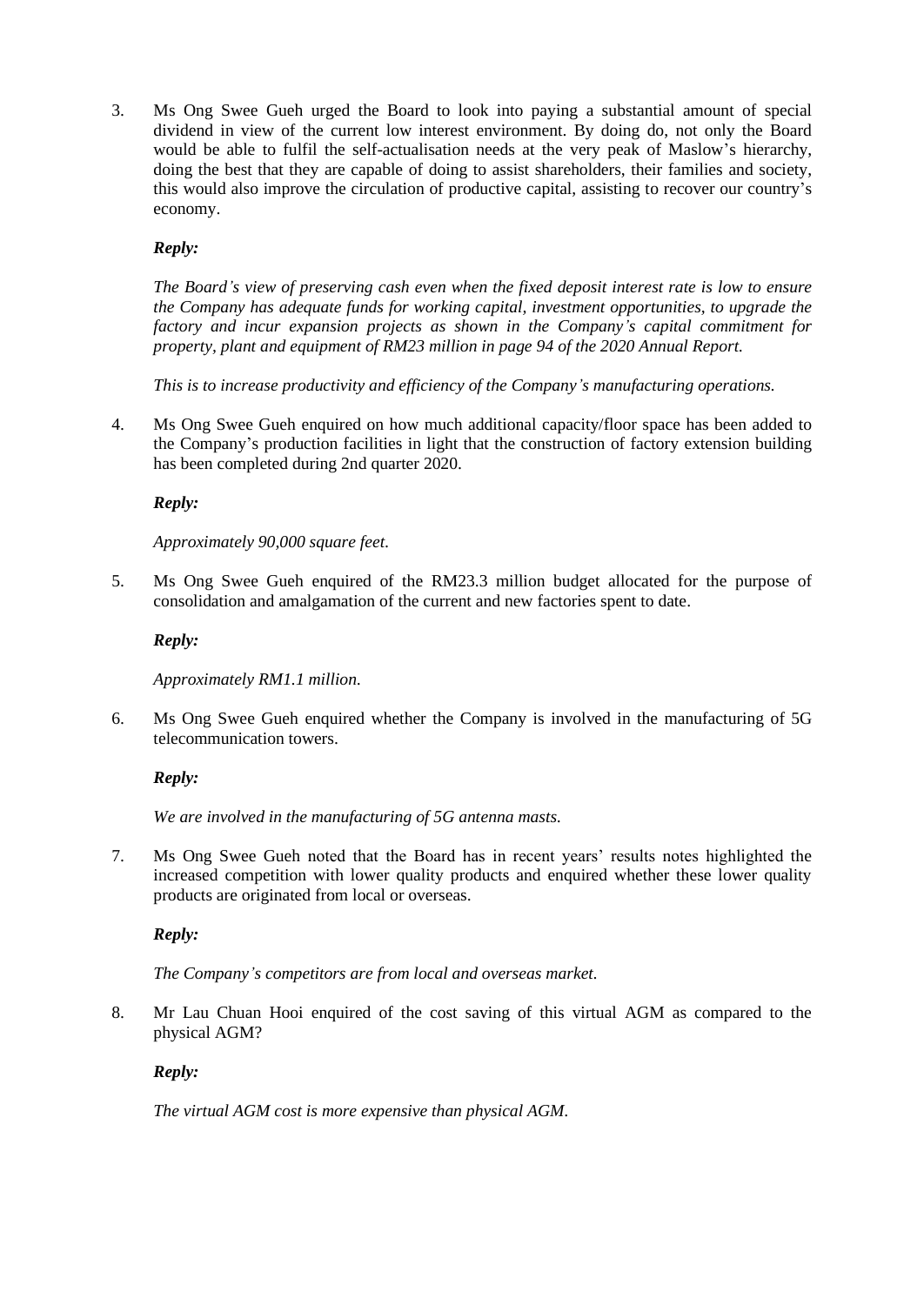3. Ms Ong Swee Gueh urged the Board to look into paying a substantial amount of special dividend in view of the current low interest environment. By doing do, not only the Board would be able to fulfil the self-actualisation needs at the very peak of Maslow's hierarchy, doing the best that they are capable of doing to assist shareholders, their families and society, this would also improve the circulation of productive capital, assisting to recover our country's economy.

# *Reply:*

*The Board's view of preserving cash even when the fixed deposit interest rate is low to ensure the Company has adequate funds for working capital, investment opportunities, to upgrade the factory and incur expansion projects as shown in the Company's capital commitment for property, plant and equipment of RM23 million in page 94 of the 2020 Annual Report.*

*This is to increase productivity and efficiency of the Company's manufacturing operations.*

4. Ms Ong Swee Gueh enquired on how much additional capacity/floor space has been added to the Company's production facilities in light that the construction of factory extension building has been completed during 2nd quarter 2020.

# *Reply:*

# *Approximately 90,000 square feet.*

5. Ms Ong Swee Gueh enquired of the RM23.3 million budget allocated for the purpose of consolidation and amalgamation of the current and new factories spent to date.

# *Reply:*

*Approximately RM1.1 million.*

6. Ms Ong Swee Gueh enquired whether the Company is involved in the manufacturing of 5G telecommunication towers.

# *Reply:*

*We are involved in the manufacturing of 5G antenna masts.*

7. Ms Ong Swee Gueh noted that the Board has in recent years' results notes highlighted the increased competition with lower quality products and enquired whether these lower quality products are originated from local or overseas.

# *Reply:*

# *The Company's competitors are from local and overseas market.*

8. Mr Lau Chuan Hooi enquired of the cost saving of this virtual AGM as compared to the physical AGM?

# *Reply:*

*The virtual AGM cost is more expensive than physical AGM.*